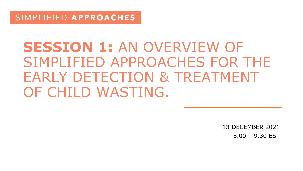# **SESSION 1:** AN OVERVIEW OF SIMPLIFIED APPROACHES FOR THE EARLY DETECTION & TREATMENT OF CHILD WASTING.

13 DECEMBER 2021 8.00 – 9.30 EST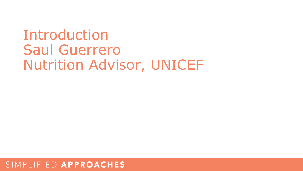Introduction Saul Guerrero Nutrition Advisor, UNICEF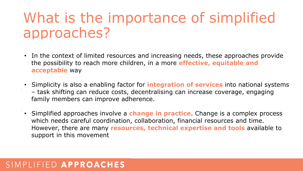# What is the importance of simplified approaches?

- In the context of limited resources and increasing needs, these approaches provide the possibility to reach more children, in a more **effective, equitable and acceptable** way
- Simplicity is also a enabling factor for **integration of services** into national systems – task shifting can reduce costs, decentralising can increase coverage, engaging family members can improve adherence.
- **•** Simplified approaches involve a **change in practice**. Change is a complex process **Moving to scale** which needs careful coordination, collaboration, financial resources and time. **Guidance review** However, there are many **resources, technical expertise and tools** available to support in this movement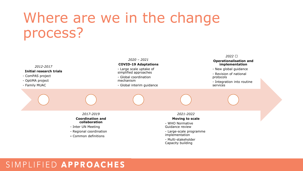# Where are we in the change process?

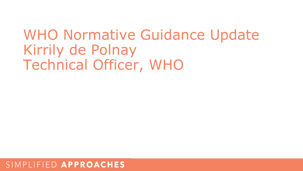# WHO Normative Guidance Update Kirrily de Polnay Technical Officer, WHO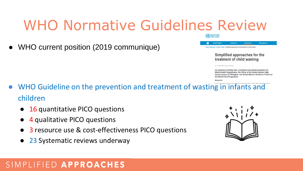# WHO Normative Guidelines Review

● WHO current position (2019 communique)

lealth Topics

Countries -Home / Newsroom / Events / Detail / Simplified approaches for the treatment of child wasting

> Simplified approaches for the treatment of child wasting

An executive briefing from a technical consultation between the World Health Organization, the Office of the United Nations High Commissioner for Refugees, the United Nations Children's Fund and the World Food Programme

**Emergencies** 

26 - 27 March 2019 | Cleneya Switzerland

- WHO Guideline on the prevention and treatment of wasting in infants and children
	- 16 quantitative PICO questions
	- 4 qualitative PICO questions
	- 3 resource use & cost-effectiveness PICO questions
	- 23 Systematic reviews underway

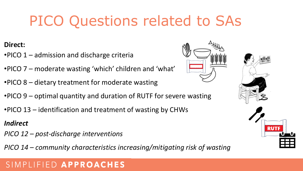# PICO Questions related to SAs

### **Direct:**

- •PICO 1 admission and discharge criteria
- •PICO 7 moderate wasting 'which' children and 'what'
- •PICO 8 dietary treatment for moderate wasting
- •PICO 9 optimal quantity and duration of RUTF for severe wasting
- •PICO 13 identification and treatment of wasting by CHWs

### *Indirect*

- *PICO 12 – post-discharge interventions*
- *PICO 14 – community characteristics increasing/mitigating risk of wasting*